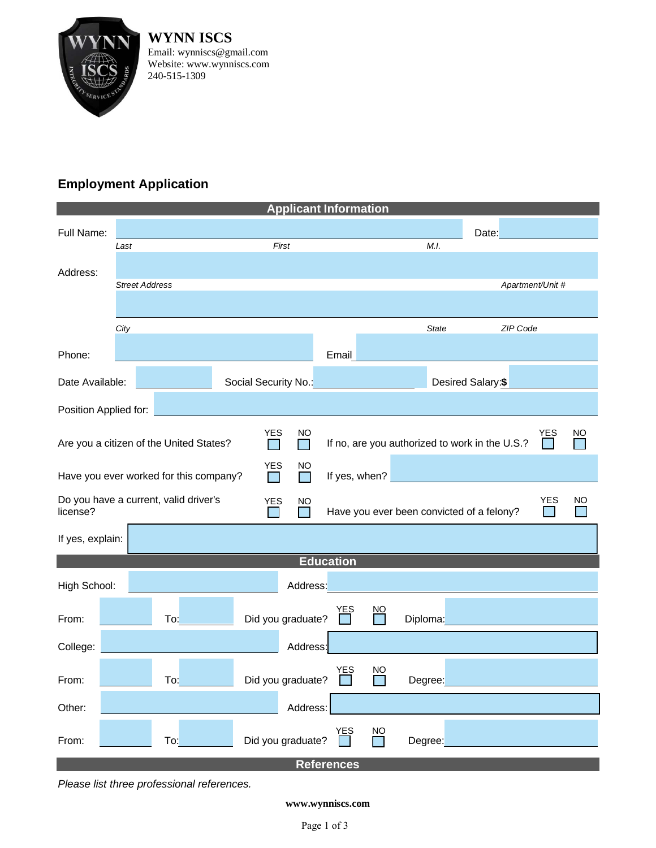

**WYNN ISCS** Email: wynniscs@gmail.com Website: www.wynniscs.com 240-515-1309

## **Employment Application**

| <b>Applicant Information</b>                                                                                                                                    |                       |                                                                                                                                 |                      |                   |                                                 |                           |              |  |                   |  |  |
|-----------------------------------------------------------------------------------------------------------------------------------------------------------------|-----------------------|---------------------------------------------------------------------------------------------------------------------------------|----------------------|-------------------|-------------------------------------------------|---------------------------|--------------|--|-------------------|--|--|
| Full Name:                                                                                                                                                      |                       |                                                                                                                                 |                      | Date:             |                                                 |                           |              |  |                   |  |  |
|                                                                                                                                                                 | Last                  |                                                                                                                                 |                      | First             |                                                 |                           | M.I.         |  |                   |  |  |
| Address:                                                                                                                                                        | <b>Street Address</b> |                                                                                                                                 |                      |                   |                                                 |                           |              |  | Apartment/Unit #  |  |  |
|                                                                                                                                                                 |                       |                                                                                                                                 |                      |                   |                                                 |                           |              |  |                   |  |  |
|                                                                                                                                                                 | City                  |                                                                                                                                 |                      |                   |                                                 |                           | <b>State</b> |  | ZIP Code          |  |  |
| Phone:                                                                                                                                                          |                       |                                                                                                                                 |                      |                   | Email                                           |                           |              |  |                   |  |  |
| Date Available:                                                                                                                                                 |                       | $\mathcal{L}^{\text{max}}_{\text{max}}$ and $\mathcal{L}^{\text{max}}_{\text{max}}$ and $\mathcal{L}^{\text{max}}_{\text{max}}$ | Social Security No.: |                   | <u> 1990 - Johann Barnett, fransk politik (</u> |                           |              |  | Desired Salary:\$ |  |  |
| Position Applied for:                                                                                                                                           |                       |                                                                                                                                 |                      |                   |                                                 |                           |              |  |                   |  |  |
| YES<br><b>NO</b><br><b>NO</b><br><u>YES</u><br>If no, are you authorized to work in the U.S.?<br>Are you a citizen of the United States?<br><b>In the State</b> |                       |                                                                                                                                 |                      |                   |                                                 |                           |              |  |                   |  |  |
| <b>YES</b><br>NO<br>If yes, when?<br>Have you ever worked for this company?                                                                                     |                       |                                                                                                                                 |                      |                   |                                                 |                           |              |  |                   |  |  |
| Do you have a current, valid driver's<br><b>YES</b><br>NO<br>YES<br>NO<br>license?<br>Have you ever been convicted of a felony?                                 |                       |                                                                                                                                 |                      |                   |                                                 |                           |              |  |                   |  |  |
| If yes, explain:                                                                                                                                                |                       |                                                                                                                                 |                      |                   |                                                 |                           |              |  |                   |  |  |
| <b>Education</b>                                                                                                                                                |                       |                                                                                                                                 |                      |                   |                                                 |                           |              |  |                   |  |  |
| High School:                                                                                                                                                    |                       |                                                                                                                                 |                      | Address:          |                                                 |                           |              |  |                   |  |  |
| From:                                                                                                                                                           |                       | To:                                                                                                                             |                      | Did you graduate? | <u>YES</u>                                      | $\underline{\mathsf{NO}}$ | Diploma:     |  |                   |  |  |
| College:                                                                                                                                                        |                       |                                                                                                                                 |                      | Address:          |                                                 |                           |              |  |                   |  |  |
| From:                                                                                                                                                           |                       | To:                                                                                                                             |                      | Did you graduate? | YES                                             | ΝO                        | Degree:      |  |                   |  |  |
| Other:                                                                                                                                                          |                       |                                                                                                                                 |                      | Address:          |                                                 |                           |              |  |                   |  |  |
| From:                                                                                                                                                           |                       | To:                                                                                                                             |                      | Did you graduate? | YES                                             | $\frac{NO}{\sqrt{2}}$     | Degree:      |  |                   |  |  |
| <b>References</b>                                                                                                                                               |                       |                                                                                                                                 |                      |                   |                                                 |                           |              |  |                   |  |  |

*Please list three professional references.*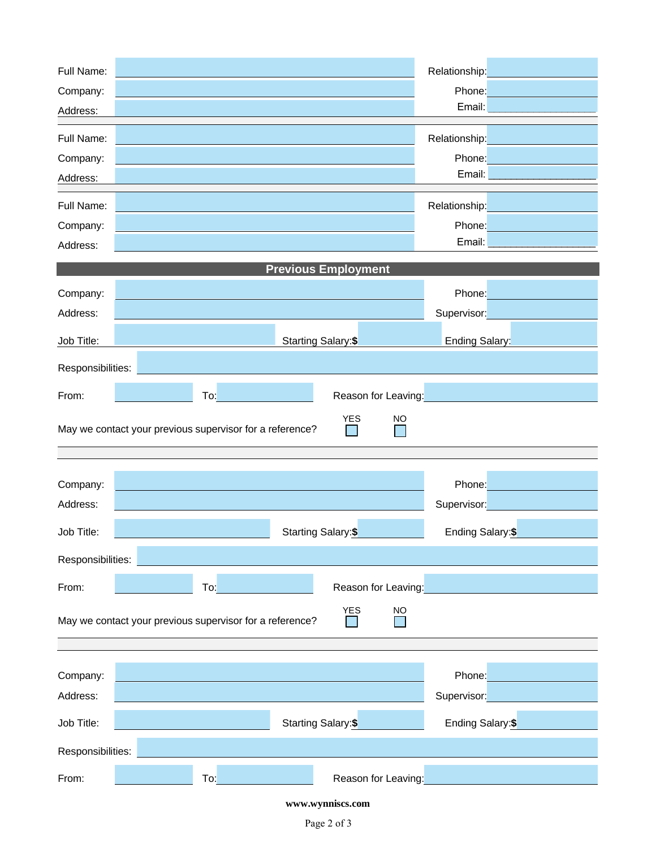| Full Name:                          |                                                                                     | Relationship:                |  |  |  |  |  |
|-------------------------------------|-------------------------------------------------------------------------------------|------------------------------|--|--|--|--|--|
| Company:                            |                                                                                     | Phone:                       |  |  |  |  |  |
| Address:                            |                                                                                     | Email:                       |  |  |  |  |  |
| Full Name:                          |                                                                                     | Relationship:                |  |  |  |  |  |
| Company:                            |                                                                                     | Phone:                       |  |  |  |  |  |
| Address:                            |                                                                                     | Email:                       |  |  |  |  |  |
| Full Name:                          |                                                                                     | Relationship:                |  |  |  |  |  |
| Company:                            |                                                                                     | Phone:                       |  |  |  |  |  |
| Address:                            |                                                                                     | Email:                       |  |  |  |  |  |
|                                     | <b>Previous Employment</b>                                                          |                              |  |  |  |  |  |
| Company:                            |                                                                                     | Phone:                       |  |  |  |  |  |
| Address:                            |                                                                                     | Supervisor:                  |  |  |  |  |  |
| Job Title:                          | Starting Salary:\$                                                                  | <b>Ending Salary:</b>        |  |  |  |  |  |
| Responsibilities:                   |                                                                                     |                              |  |  |  |  |  |
|                                     |                                                                                     |                              |  |  |  |  |  |
| To:<br>Reason for Leaving:<br>From: |                                                                                     |                              |  |  |  |  |  |
|                                     |                                                                                     |                              |  |  |  |  |  |
|                                     | <b>YES</b><br><b>NO</b><br>May we contact your previous supervisor for a reference? |                              |  |  |  |  |  |
|                                     |                                                                                     |                              |  |  |  |  |  |
|                                     |                                                                                     |                              |  |  |  |  |  |
| Company:                            |                                                                                     | Phone:                       |  |  |  |  |  |
| Address:                            |                                                                                     | Supervisor:                  |  |  |  |  |  |
| Job Title:                          | Starting Salary:\$                                                                  | Ending Salary:\$             |  |  |  |  |  |
| Responsibilities:                   |                                                                                     |                              |  |  |  |  |  |
| From:                               | To:<br>Reason for Leaving:                                                          |                              |  |  |  |  |  |
|                                     | <b>YES</b><br>NO                                                                    |                              |  |  |  |  |  |
|                                     | May we contact your previous supervisor for a reference?                            |                              |  |  |  |  |  |
|                                     |                                                                                     |                              |  |  |  |  |  |
| Company:                            |                                                                                     | Phone:                       |  |  |  |  |  |
| Address:                            |                                                                                     | Supervisor:                  |  |  |  |  |  |
| Job Title:                          | Starting Salary: <sup>\$</sup>                                                      | Ending Salary: <sup>\$</sup> |  |  |  |  |  |
| Responsibilities:                   |                                                                                     |                              |  |  |  |  |  |

**www.wynniscs.com**